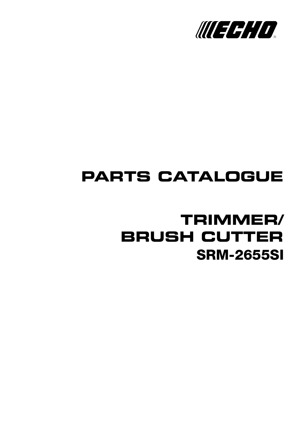

## **PARTS CATALOGUE**

## **SRM-2655SI TRIMMER/ BRUSH CUTTER**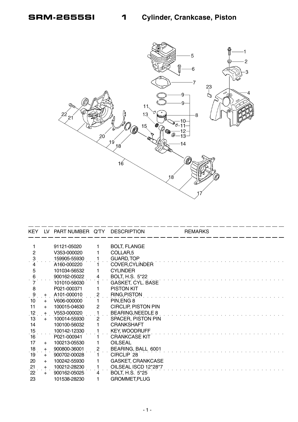

|                                         |     | KEY LV PART NUMBER Q'TY |                | <b>DESCRIPTION</b>         | <b>REMARKS</b> |
|-----------------------------------------|-----|-------------------------|----------------|----------------------------|----------------|
|                                         |     |                         |                |                            |                |
|                                         |     | 91121-05020             |                | <b>BOLT, FLANGE</b>        |                |
| $\overline{2}$                          |     | V353-000020             |                | COLLAR <sub>,5</sub>       |                |
| $\ddot{\mathrm{3}}$                     |     | 159905-55930            |                | <b>GUARD, TOP</b>          |                |
| 4                                       |     | A160-000220             |                | <b>COVER, CYLINDER</b>     |                |
| 5                                       |     | 101034-56532            |                | <b>CYLINDER</b>            |                |
| $\frac{6}{7}$                           |     | 900162-05022            | 4              | BOLT, H.S. 5*22            |                |
|                                         |     | 101010-56030            | 1.             | GASKET, CYL. BASE          |                |
| 8                                       |     | P021-000371             |                | <b>PISTON KIT</b>          |                |
| $\cdot$ 9                               | $+$ | A101-000010             | $\overline{c}$ | <b>RING, PISTON</b>        |                |
| 10                                      | $+$ | V606-000000             |                | PIN, ENG 8                 |                |
| 11                                      | $+$ | 100015-04630            | $\overline{c}$ | <b>CIRCLIP, PISTON PIN</b> |                |
| .12                                     | $+$ | V553-000020             |                | <b>BEARING, NEEDLE 8</b>   |                |
| 13                                      | $+$ | 100014-55930            | $\overline{2}$ | <b>SPACER, PISTON PIN</b>  |                |
| 14                                      |     | 100100-56032            |                | <b>CRANKSHAFT</b>          |                |
| $\begin{array}{c} 15 \\ 16 \end{array}$ |     | 100142-12330            |                | <b>KEY, WOODRUFF</b>       |                |
|                                         |     | P021-000941             |                | <b>CRANKCASE KIT</b>       |                |
| 17                                      | $+$ | 100213-05530            |                | <b>OILSEAL</b>             |                |
| 18                                      | $+$ | 900800-36001            | 2              | BEARING, BALL 6001         |                |
| 19                                      | $+$ | 900702-00028            |                | CIRCLIP <sub>28</sub>      |                |
| 20                                      | $+$ | 100242-55930            |                | <b>GASKET, CRANKCASE</b>   |                |
| 21                                      | $+$ | 100212-28230            |                | OILSEAL ISCD 12*28*7       |                |
| 22                                      | $+$ | 900162-05025            | 4              | BOLT, H.S. 5*25            |                |
| 23                                      |     | 101538-28230            | 1              | <b>GROMMET, PLUG</b>       |                |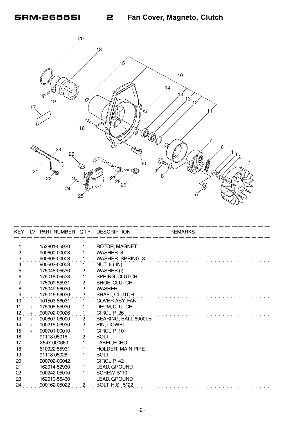

| <b>KEY</b>          | LV 1 | PART NUMBER Q'TY DESCRIPTION |                         |                          | <b>REMARKS</b> |
|---------------------|------|------------------------------|-------------------------|--------------------------|----------------|
|                     |      |                              |                         |                          |                |
| 1                   |      | 152801-55930                 |                         | ROTOR, MAGNET            |                |
| $\overline{2}$      |      | 900600-00008                 |                         | WASHER 8                 |                |
| $\ddot{\mathbf{3}}$ |      | 900605-00008                 |                         | WASHER, SPRING 8         |                |
| 5                   |      | 900502-00008                 |                         | <b>NUT 8 (3N)</b>        |                |
|                     |      | 175048-05530                 | 2                       | WASHER (I)               |                |
| 6                   |      | 175018-05533                 | 1                       | SPRING, CLUTCH           |                |
|                     |      | 175009-55931                 | $\overline{2}$          | SHOE, CLUTCH             |                |
| 8                   |      | 175049-56030                 | $\mathbf{2}$            | <b>WASHER</b>            |                |
| 9                   |      | 175046-56030                 | $\overline{\mathbf{c}}$ | SHAFT, CLUTCH            |                |
| 10                  |      | 101503-56031                 |                         | COVER ASY, FAN           |                |
| 11                  | $+$  | 175005-55930                 |                         | DRUM, CLUTCH             |                |
| 12                  | $+$  | 900702-00026                 |                         | CIRCLIP 26               |                |
| 13                  | $+$  | 900807-06000                 | $\overline{2}$          | BEARING, BALL 6000LB     |                |
| 14                  | $+$  | 100215-03930                 | $\overline{c}$          | PIN, DOWEL               |                |
| 15                  | $+$  | 900701-00010                 | 1                       | CIRCLIP 10               |                |
| $\overline{16}$     |      | 91118-05018                  | $\mathbf{2}$            | <b>BOLT</b>              |                |
| 17                  |      | X547-000660                  |                         | LABEL, ECHO              |                |
| 18                  |      | 610922-55931                 |                         | <b>HOLDER, MAIN PIPE</b> |                |
| $\overline{19}$     |      | 91118-05028                  |                         | <b>BOLT</b>              |                |
| 20                  |      | 900702-00042                 |                         | CIRCLIP 42               |                |
| 21                  |      | 162014-52930                 |                         | LEAD, GROUND             |                |
| 22                  |      | 900242-05010                 |                         | <b>SCREW 5*10</b>        |                |
| 23                  |      | 162010-56430                 |                         | LEAD, GROUND             |                |
| 24                  |      | 900162-05022                 | $\overline{c}$          | BOLT, H.S. 5*22          |                |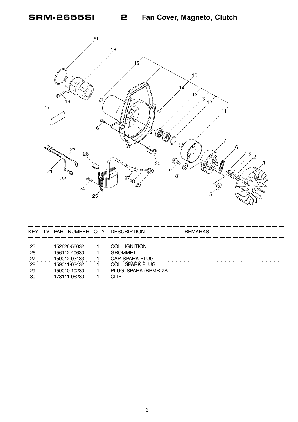Fan Cover, Magneto, Clutch



2

| <b>KEY</b> | LV. | PART NUMBER Q'TY | <b>DESCRIPTION</b>      | <b>REMARKS</b> |
|------------|-----|------------------|-------------------------|----------------|
| -25        |     | 152626-56032     | COIL, IGNITION          |                |
| -26        |     | 156112-40630     | <b>GROMMET</b>          |                |
| -27        |     | 159012-03433     | CAP, SPARK PLUG         |                |
| -28        |     | 159011-03432     | <b>COIL, SPARK PLUG</b> |                |
| -29        |     | 159010-10230     | PLUG, SPARK (BPMR-7A    |                |
| -30        |     | 178111-06230     | CLIP                    |                |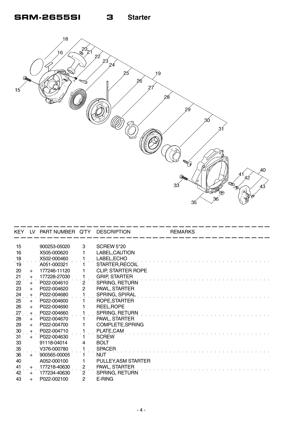

| <b>KEY</b>    | - IV       | PART NUMBER Q'TY DESCRIPTION |                     |                           | <b>REMARKS</b> |
|---------------|------------|------------------------------|---------------------|---------------------------|----------------|
| 15            |            | 900253-05020                 | 3                   | <b>SCREW 5*20</b>         |                |
| 16            |            | X505-000620                  |                     | LABEL, CAUTION            |                |
|               |            | X502-000460                  |                     | LABEL, ECHO               |                |
| $^{18}$<br>19 |            | A051-000321                  |                     | STARTER, RECOIL           |                |
| 20            |            | 177246-11120                 |                     | <b>CLIP, STARTER ROPE</b> |                |
| 21            | $+$        | 177228-27030                 |                     | <b>GRIP, STARTER</b>      |                |
| 22            | $+$<br>$+$ | P022-004610                  | $\overline{2}$      | SPRING, RETURN            |                |
| 23            |            | P022-004620                  | $\mathbf{2}$        | PAWL, STARTER             |                |
|               | $+$        | P022-004680                  |                     | SPRING, SPIRAL            |                |
| 24<br>25      | $+$<br>$+$ | P022-004600                  |                     | ROPE, STARTER             |                |
| 26            |            | P022-004690                  |                     | REEL, ROPE                |                |
|               | $+$        | P022-004660                  |                     | SPRING, RETURN            |                |
| 27<br>28      | $+$<br>$+$ | P022-004670                  |                     | PAWL, STARTER             |                |
| 29            |            | P022-004700                  |                     | COMPLETE, SPRING          |                |
| 30            | $+$<br>$+$ | P022-004710                  |                     | PLATE, CAM                |                |
| 31            | $+$        | P022-004630                  |                     | <b>SCREW</b>              |                |
| 33            |            | 91118-04014                  | 4                   | <b>BOLT</b>               |                |
| 35            |            | V376-000780                  |                     | <b>SPACER</b>             |                |
| 36            | $+$        | 900565-00005                 |                     | <b>NUT</b>                |                |
| 40            |            | A052-000100                  |                     | PULLEY, ASM STARTER       |                |
| 41            |            | 177218-40630                 |                     | PAWL, STARTER             |                |
| 42            | $+$        | 177234-40630                 | $\overline{c}$<br>2 | SPRING, RETURN            |                |
|               | $+$        | P022-002100                  |                     |                           |                |
| 43            | $+$        |                              | 2                   | E-RING                    |                |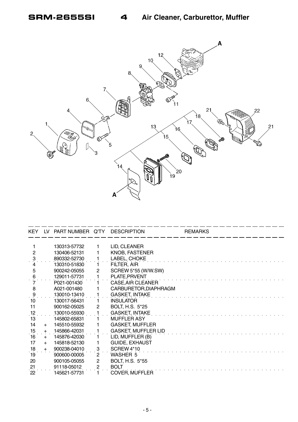

| <b>KEY</b>      | LV. | PART NUMBER Q'TY |              | <b>DESCRIPTION</b>         | <b>REMARKS</b> |
|-----------------|-----|------------------|--------------|----------------------------|----------------|
|                 |     |                  |              |                            |                |
|                 |     | 130313-57732     |              | LID, CLEANER               |                |
| $\overline{2}$  |     | 130406-52131     |              | <b>KNOB, FASTENER</b>      |                |
| 3.              |     | 890332-52730     |              | LABEL, CHOKE               |                |
|                 |     | 130310-51830     |              | FILTER, AIR                |                |
| 5               |     | 900242-05055     | 2            | SCREW 5*55 (W/W.SW)        |                |
| 6               |     | 129011-57731     |              | PLATE, PRVENT              |                |
|                 |     | P021-001430      |              | CASE, AIR CLEANER          |                |
| 8               |     | A021-001480      |              | CARBURETOR, DIAPHRAGM      |                |
| $\cdot$ 9       |     | 130010-13410     |              | <b>GASKET, INTAKE</b>      |                |
| 10              |     | 130017-56431     |              | <b>INSULATOR</b>           |                |
| 11              |     | 900162-05025     | $\mathbf{2}$ | <b>BOLT, H.S. 5*25</b>     |                |
| $\frac{12}{13}$ |     | 130010-55930     |              | <b>GASKET, INTAKE</b>      |                |
|                 |     | 145802-65831     |              | <b>MUFFLER ASY</b>         |                |
| 14              | $+$ | 145510-55932     |              | <b>GASKET, MUFFLER</b>     |                |
| 15              | $+$ | 145866-42031     |              | <b>GASKET, MUFFLER LID</b> |                |
| 16              | $+$ | 145876-42030     |              | LID, MUFFLER (B)           |                |
| 17              | $+$ | 145818-52130     |              | <b>GUIDE, EXHAUST</b>      |                |
| 18              | $+$ | 900238-04010     | 3            | SCREW 4*10                 |                |
| 19              |     | 900600-00005     | 2            | <b>WASHER 5</b>            |                |
| 20              |     | 900105-05055     | 2            | <b>BOLT, H.S. 5*55</b>     |                |
|                 |     | 91118-05012      | 2            | <b>BOLT</b>                |                |
| $\frac{21}{22}$ |     | 145621-57731     |              | <b>COVER, MUFFLER</b>      |                |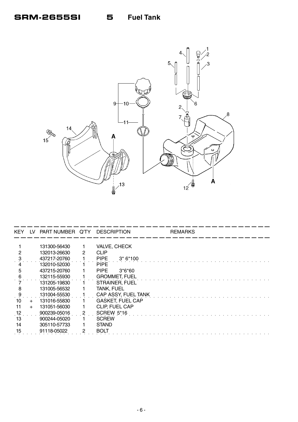

| <b>KEY</b> | LV.   | PART NUMBER Q'TY DESCRIPTION |   |                          | <b>REMARKS</b> |  |
|------------|-------|------------------------------|---|--------------------------|----------------|--|
|            |       |                              |   |                          |                |  |
|            |       | 131300-56430                 |   | <b>VALVE, CHECK</b>      |                |  |
|            |       | 132013-26630                 | 2 | <b>CLIP</b>              |                |  |
|            |       | 437217-20760                 |   | <b>PIPE</b><br>$3*6*100$ |                |  |
|            |       | 132010-52030                 |   | <b>PIPE</b>              |                |  |
| 5          |       | 437215-20760                 |   | $3*6*60$<br><b>PIPE</b>  |                |  |
|            |       | 132115-55930                 |   | <b>GROMMET, FUEL</b>     |                |  |
|            |       | 131205-19830                 |   | STRAINER, FUEL           |                |  |
| 8          |       | 131005-56532                 |   | TANK, FUEL               |                |  |
| 9          |       | 131004-55530                 |   | CAP ASSY, FUEL TANK      |                |  |
| 10         | $+$   | 131016-55830                 |   | <b>GASKET, FUEL CAP</b>  |                |  |
| 11         | $\pm$ | 131051-56030                 |   | CLIP, FUEL CAP           |                |  |
| 12         |       | 900239-05016                 |   | <b>SCREW 5*16</b>        |                |  |
| 13         |       | 900244-05020                 |   | <b>SCREW</b>             |                |  |
| 14         |       | 305110-57733                 |   | <b>STAND</b>             |                |  |
| 15         |       | 91118-05022                  |   | BOLT                     |                |  |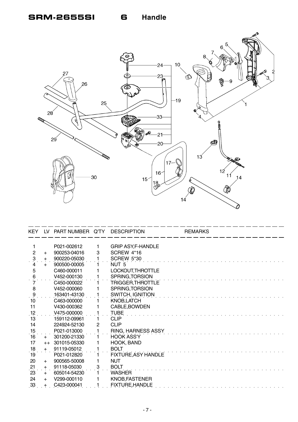

| KEY.                | LV.  | PART NUMBER Q'TY DESCRIPTION |   |                            | <b>REMARKS</b> |
|---------------------|------|------------------------------|---|----------------------------|----------------|
|                     |      |                              |   |                            |                |
|                     |      | P021-002612                  |   | <b>GRIP ASY, F-HANDLE</b>  |                |
| 2                   | $+$  | 900253-04016                 | 3 | SCREW 4*16                 |                |
| $\ddot{\mathbf{3}}$ | $+$  | 900220-05030                 |   | <b>SCREW 5*30</b>          |                |
|                     | $+$  | 900500-00005                 |   | NUT <sub>5</sub>           |                |
| 5                   |      | C460-000011                  |   | LOCKOUT, THROTTLE          |                |
| $\frac{6}{7}$       |      | V452-000130                  |   | SPRING, TORSION            |                |
|                     |      | C450-000022                  |   | TRIGGÉR,THROTTLE           |                |
| 8                   |      | V452-000060                  |   | SPRING, TORSION            |                |
| $\frac{9}{1}$       |      | 163401-43130                 |   | <b>SWITCH, IGNITION</b>    |                |
| 10                  |      | C463-000000                  |   | <b>KNOB, LATCH</b>         |                |
| 11                  |      | V430-000362                  |   | CABLE, BOWDEN              |                |
| .12                 |      | V475-000000                  |   | <b>TUBE</b>                |                |
| 13                  |      | 159112-09961                 |   | <b>CLIP</b>                |                |
| 14                  |      | 224924-52130                 | 2 | <b>CLIP</b>                |                |
| 15                  |      | P021-013000                  |   | RING, HARNESS ASSY         |                |
| 16                  | $+$  | 301200-21330                 |   | <b>HOOK ASS'Y</b>          |                |
| 17                  | $++$ | 301015-05330                 |   | HOOK, BAND                 |                |
| 18                  | $+$  | 91119-05012                  |   | <b>BOLT</b>                |                |
| 19                  |      | P021-012820                  |   | <b>FIXTURE, ASY HANDLE</b> |                |
| 20                  | $+$  | 900565-50008                 |   | <b>NUT</b>                 |                |
| 21                  | $+$  | 91118-05030                  | 3 | <b>BOLT</b>                |                |
| 23                  | $+$  | 605014-54230                 |   | <b>WASHER</b>              |                |
| 24                  | $+$  | V299-000110                  |   | KNOB, FASTENER             |                |
| 33                  | $+$  | C423-000041                  |   | <b>FIXTURE, HANDLE</b>     |                |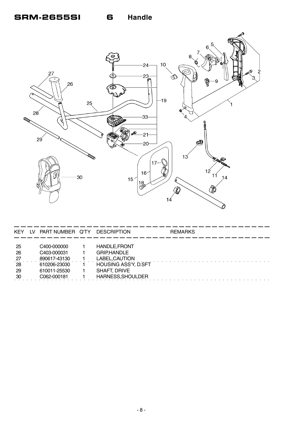**Handle** 6



| KEY                                      | I V | PART NUMBER Q'TY                                                                          | <b>DESCRIPTION</b>                                                                                                                      | <b>REMARKS</b> |
|------------------------------------------|-----|-------------------------------------------------------------------------------------------|-----------------------------------------------------------------------------------------------------------------------------------------|----------------|
| -25<br>26<br>$^{27}$<br>28<br>-29<br>-30 |     | C400-000000<br>C403-000031<br>890617-43130<br>610206-23030<br>610011-25530<br>C062-000181 | <b>HANDLE, FRONT</b><br><b>GRIP,HANDLE</b><br>LABEL, CAUTION<br><b>HOUSING ASS'Y, D.SFT</b><br><b>SHAFT, DRIVE</b><br>HARNESS, SHOULDER |                |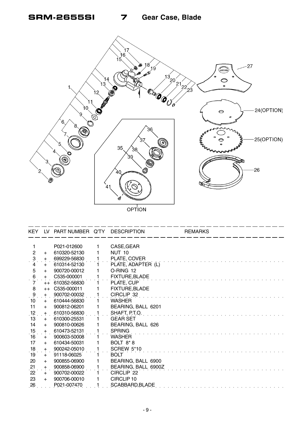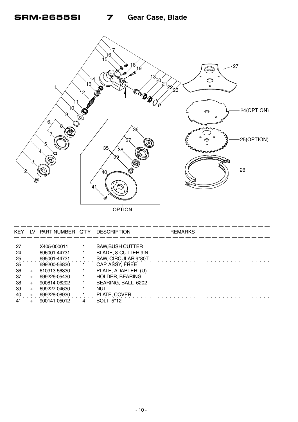

| <b>KEY</b> | LV. | PART NUMBER Q'TY DESCRIPTION |                        | <b>REMARKS</b> |
|------------|-----|------------------------------|------------------------|----------------|
|            |     |                              |                        |                |
| 27         |     | X405-000011                  | SAW, BUSH CUTTER       |                |
| 24         |     | 696001-44731                 | BLADE, 8-CUTTER 9IN    |                |
| 25         |     | 695001-44731                 | SAW, CIRCULAR 9*80T    |                |
| 35         |     | 699200-56830                 | CAP ASSY, FREE         |                |
| 36         |     | 610313-56830                 | PLATE, ADAPTER (U)     |                |
| 37         |     | 699226-05430                 | <b>HOLDER, BEARING</b> |                |
| 38         |     | 900814-06202                 | BEARING, BALL 6202     |                |
| -39        |     | 699227-04630                 | NUT                    |                |
| 40         |     | 699228-08930                 | PLATE, COVER           |                |
| 41         |     | 900141-05012                 | <b>BOLT 5*12</b>       |                |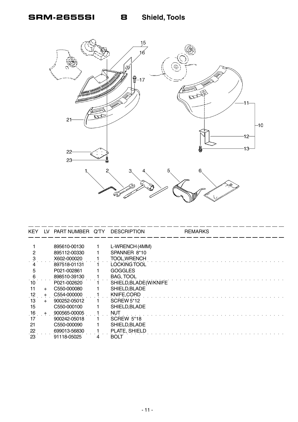

| <b>KEY</b> | l V    | PART NUMBER Q'TY | <b>DESCRIPTION</b>     | <b>REMARKS</b> |
|------------|--------|------------------|------------------------|----------------|
|            |        |                  |                        |                |
|            |        | 895610-00130     | L-WRENCH (4MM)         |                |
|            |        | 895112-00330     | SPANNER 8*10           |                |
|            |        | X602-000020      | <b>TOOL, WRENCH</b>    |                |
|            |        | 897518-01131     | LOCKING TOOL           |                |
| 5          |        | P021-002861      | <b>GOGGLES</b>         |                |
| 6          |        | 898510-39130     | <b>BAG, TOOL</b>       |                |
| 10         |        | P021-002620      | SHIELD, BLADE(W/KNIFE) |                |
| 11         | $\pm$  | C550-000080      | SHIELD, BLADE          |                |
| 12         | $+$    | C554-000000      | KNIFE, CORD            |                |
| 13         | $\div$ | 900252-05012     | <b>SCREW 5*12</b>      |                |
| 15         |        | C550-000100      | SHIELD, BLADE          |                |
| 16         | $+$    | 900565-00005     | <b>NUT</b>             |                |
| 17         |        | 900242-05018     | <b>SCREW 5*18</b>      |                |
| 21         |        | C550-000090      | SHIELD, BLADE          |                |
| 22         |        | 699013-56830     | PLATE, SHIELD          |                |
| 23         |        | 91118-05025      | <b>BOLT</b>            |                |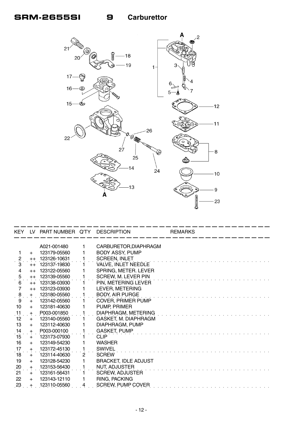

|                     |         | KEY LV PART NUMBER Q'TY DESCRIPTION |                |                             | <b>REMARKS</b> |
|---------------------|---------|-------------------------------------|----------------|-----------------------------|----------------|
|                     |         | A021-001480                         |                | CARBURETOR, DIAPHRAGM       |                |
| 1                   |         | 123179-05560                        |                | <b>BODY ASSY, PUMP</b>      |                |
|                     | $+$     | 123126-10631                        |                |                             |                |
| $\ddot{?}$          | $^{++}$ |                                     |                | <b>SCREEN, INLET</b>        |                |
| 3<br>$\overline{4}$ | $++$    | 123137-19830                        |                | <b>VALVE, INLET NEEDLE</b>  |                |
|                     | $++$    | 123122-05560                        |                | SPRING, METER. LEVER        |                |
| 5<br>$\rm \dot{6}$  | $++$    | 123139-05560                        |                | SCREW, M. LEVER PIN         |                |
|                     | $++$    | 123138-03930                        |                | PIN, METERING LEVER         |                |
| $\overline{7}$      | $++$    | 123123-03930                        |                | LEVER, METERING             |                |
| $\ddot{\mathbf{8}}$ | $+$     | 123180-05560                        |                | <b>BODY, AIR PURGE</b>      |                |
| 9                   | $+$     | 123142-05560                        |                | <b>COVER, PRIMER PUMP</b>   |                |
| 10                  | $+$     | 123181-40630                        |                | PUMP, PRIMER                |                |
| 11                  | $+$     | P003-001850                         |                | DIAPHRAGM, METERING         |                |
| 12                  | $+$     | 123140-05560                        |                | GASKET, M. DIAPHRAGM        |                |
| 13                  | $+$     | 123112-40630                        |                | DIAPHRAGM, PUMP             |                |
| 14                  | $+$     | P003-000100                         |                | <b>GASKET, PUMP</b>         |                |
| 15                  | $+$     | 123173-07930                        |                | <b>CLIP</b>                 |                |
| 16                  | $+$     | 123149-54230                        |                | <b>WASHER</b>               |                |
| 17                  | $+$     | 123172-45130                        |                | <b>SWIVEL</b>               |                |
| 18                  | $+$     | 123114-40630                        | $\overline{2}$ | <b>SCREW</b>                |                |
| 19                  | $+$     | 123128-54230                        |                | <b>BRACKET, IDLE ADJUST</b> |                |
| 20                  | $+$     | 123153-56430                        |                | <b>NUT, ADJUSTER</b>        |                |
| 21                  | $+$     | 123161-56431                        |                | <b>SCREW, ADJUSTER</b>      |                |
| 22                  | $+$     | 123143-12110                        |                | RING, PACKING               |                |
| 23                  |         | 123110-05560                        | 4              | <b>SCREW, PUMP COVER</b>    |                |
|                     |         |                                     |                |                             |                |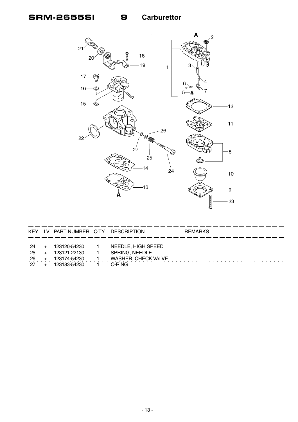## **SRM-2655SI**

9



| <b>KEY</b>              | LV PART NUMBER Q'TY                                          | DESCRIPTION                                                                  | <b>REMARKS</b> |
|-------------------------|--------------------------------------------------------------|------------------------------------------------------------------------------|----------------|
| -24<br>25<br>-26<br>-27 | 123120-54230<br>123121-22130<br>123174-54230<br>123183-54230 | NEEDLE, HIGH SPEED<br>SPRING, NEEDLE<br><b>WASHER, CHECK VALVE</b><br>O-RING |                |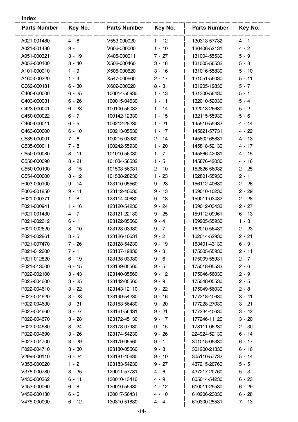| <b>Parts Number</b> | Key No.  | <b>Parts Number</b> | Key No.  | <b>Parts Number</b> | Key No.  |
|---------------------|----------|---------------------|----------|---------------------|----------|
| A021-001480         | $4 - 8$  | V553-000020         | $1 - 12$ | 130313-57732        | $4 - 1$  |
| A021-001480         | $9 -$    | V606-000000         | $1 - 10$ | 130406-52131        | $4 - 2$  |
| A051-000321         | $3 - 19$ | X405-000011         | $7 - 27$ | 131004-55530        | $5 - 9$  |
| A052-000100         | $3 - 40$ | X502-000460         | $3 - 18$ | 131005-56532        | $5 - 8$  |
| A101-000010         | $1 - 9$  | X505-000620         | $3 - 16$ | 131016-55830        | $5 - 10$ |
| A160-000220         | $1 - 4$  | X547-000660         | $2 - 17$ | 131051-56030        | $5 - 11$ |
| C062-000181         | $6 - 30$ | X602-000020         | $8 - 3$  | 131205-19830        | $5 - 7$  |
| C400-000000         | $6 - 25$ | 100014-55930        | $1 - 13$ | 131300-56430        | $5 - 1$  |
| C403-000031         | $6 - 26$ | 100015-04630        | $1 - 11$ | 132010-52030        | $5 - 4$  |
| C423-000041         | $6 - 33$ | 100100-56032        | $1 - 14$ | 132013-26630        | $5 - 2$  |
| C450-000022         | $6 - 7$  | 100142-12330        | $1 - 15$ | 132115-55930        | $5 - 6$  |
| C460-000011         | $6 - 5$  | 100212-28230        | $1 - 21$ | 145510-55932        | $4 - 14$ |
| C463-000000         | $6 - 10$ | 100213-05530        | $1 - 17$ | 145621-57731        | $4 - 22$ |
| C535-000001         | $7 - 6$  | 100215-03930        | $2 - 14$ | 145802-65831        | $4 - 13$ |
| C535-000011         | $7 - 8$  | 100242-55930        | $1 - 20$ | 145818-52130        | $4 - 17$ |
| C550-000080         | $8 - 11$ | 101010-56030        | $1 - 7$  | 145866-42031        | $4 - 15$ |
| C550-000090         | $8 - 21$ | 101034-56532        | $1 - 5$  | 145876-42030        | $4 - 16$ |
| C550-000100         | $8 - 15$ | 101503-56031        | $2 - 10$ | 152626-56032        | $2 - 25$ |
| C554-000000         | $8 - 12$ | 101538-28230        | $1 - 23$ | 152801-55930        | $2 - 1$  |
| P003-000100         | $9 - 14$ | 123110-05560        | $9 - 23$ | 156112-40630        | $2 - 26$ |
| P003-001850         | $9 - 11$ | 123112-40630        | $9 - 13$ | 159010-10230        | $2 - 29$ |
| P021-000371         | $1 - 8$  | 123114-40630        | $9 - 18$ | 159011-03432        | $2 - 28$ |
| P021-000941         | $1 - 16$ | 123120-54230        | $9 - 24$ | 159012-03433        | $2 - 27$ |
| P021-001430         | $4 - 7$  | 123121-22130        | $9 - 25$ | 159112-09961        | $6 - 13$ |
| P021-002612         | $6 - 1$  | 123122-05560        | $9 - 4$  | 159905-55930        | $1 - 3$  |
| P021-002620         | $8 - 10$ | 123123-03930        | $9 - 7$  | 162010-56430        | $2 - 23$ |
| P021-002861         | $8 - 5$  | 123126-10631        | $9 - 2$  | 162014-52930        | $2 - 21$ |
| P021-007470         | 7 - 26   | 123128-54230        | $9 - 19$ | 163401-43130        | $6 - 9$  |
| P021-012600         | $7 - 1$  | 123137-19830        | $9 - 3$  | 175005-55930        | $2 - 11$ |
| P021-012820         | $6 - 19$ | 123138-03930        | $9 - 6$  | 175009-55931        | $2 - 7$  |
| P021-013000         | $6 - 15$ | 123139-05560        | $9 - 5$  | 175018-05533        | $2 - 6$  |
| P022-002100         | $3 - 43$ | 123140-05560        | $9 - 12$ | 175046-56030        | $2 - 9$  |
| P022-004600         | $3 - 25$ | 123142-05560        | 9 - 9    | 175048-05530        | $2 - 5$  |
| P022-004610         | $3 - 22$ | 123143-12110        | $9 - 22$ | 175049-56030        | $2 - 8$  |
| P022-004620         | $3 - 23$ | 123149-54230        | $9 - 16$ | 177218-40630        | $3 - 41$ |
| P022-004630         | $3 - 31$ | 123153-56430        | $9 - 20$ | 177228-27030        | $3 - 21$ |
| P022-004660         | $3 - 27$ | 123161-56431        | $9 - 21$ | 177234-40630        | $3 - 42$ |
| P022-004670         | $3 - 28$ | 123172-45130        | 9 - 17   | 177246-11120        | $3 - 20$ |
| P022-004680         | $3 - 24$ | 123173-07930        | $9 - 15$ | 178111-06230        | $2 - 30$ |
| P022-004690         | $3 - 26$ | 123174-54230        | $9 - 26$ | 224924-52130        | $6 - 14$ |
| P022-004700         | $3 - 29$ | 123179-05560        | 9 - 1    | 301015-05330        | $6 - 17$ |
| P022-004710         | $3 - 30$ | 123180-05560        | $9 - 8$  | 301200-21330        | $6 - 16$ |
| V299-000110         | $6 - 24$ | 123181-40630        | $9 - 10$ | 305110-57733        | $5 - 14$ |
| V353-000020         | $1 - 2$  | 123183-54230        | $9 - 27$ | 437215-20760        | $5 - 5$  |
| V376-000780         | $3 - 35$ | 129011-57731        | 4 - 6    | 437217-20760        | $5 - 3$  |
| V430-000362         | $6 - 11$ | 130010-13410        | 4 - 9    | 605014-54230        | $6 - 23$ |
| V452-000060         | $6 - 8$  | 130010-55930        | 4 - 12   | 610011-25530        | $6 - 29$ |
| V452-000130         | $6 - 6$  | 130017-56431        | $4 - 10$ | 610206-23030        | $6 - 28$ |
| V475-000000         | 6 - 12   | 130310-51830        | 4 - 4    | 610300-25531        | 7 - 13   |
|                     |          |                     |          |                     |          |

**Index**

 $\overline{a}$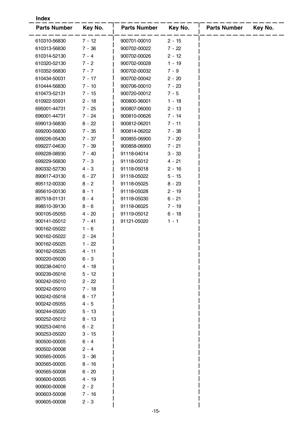| <b>Index</b>        |          |                     |          |                     |         |  |  |
|---------------------|----------|---------------------|----------|---------------------|---------|--|--|
| <b>Parts Number</b> | Key No.  | <b>Parts Number</b> | Key No.  | <b>Parts Number</b> | Key No. |  |  |
| 610310-56830        | $7 - 12$ | 900701-00010        | $2 - 15$ |                     |         |  |  |
| 610313-56830        | $7 - 36$ | 900702-00022        | $7 - 22$ |                     |         |  |  |
| 610314-52130        | $7 - 4$  | 900702-00026        | $2 - 12$ |                     |         |  |  |
| 610320-52130        | $7 - 2$  | 900702-00028        | $1 - 19$ |                     |         |  |  |
| 610352-56830        | $7 - 7$  | 900702-00032        | $7 - 9$  |                     |         |  |  |
| 610434-50031        | $7 - 17$ | 900702-00042        | $2 - 20$ |                     |         |  |  |
| 610444-56830        | $7 - 10$ | 900706-00010        | $7 - 23$ |                     |         |  |  |
| 610473-52131        | $7 - 15$ | 900720-00012        | $7 - 5$  |                     |         |  |  |
| 610922-55931        | $2 - 18$ | 900800-36001        | $1 - 18$ |                     |         |  |  |
| 695001-44731        | $7 - 25$ | 900807-06000        | $2 - 13$ |                     |         |  |  |
| 696001-44731        | $7 - 24$ | 900810-00626        | $7 - 14$ |                     |         |  |  |
| 699013-56830        | $8 - 22$ | 900812-06201        | $7 - 11$ |                     |         |  |  |
| 699200-56830        | $7 - 35$ | 900814-06202        | $7 - 38$ |                     |         |  |  |
| 699226-05430        | $7 - 37$ | 900855-06900        | $7 - 20$ |                     |         |  |  |
| 699227-04630        | $7 - 39$ | 900858-06900        | $7 - 21$ |                     |         |  |  |
| 699228-08930        | $7 - 40$ | 91118-04014         | $3 - 33$ |                     |         |  |  |
| 699229-56830        | $7 - 3$  | 91118-05012         | $4 - 21$ |                     |         |  |  |
| 890332-52730        | $4 - 3$  | 91118-05018         | $2 - 16$ |                     |         |  |  |
| 890617-43130        | $6 - 27$ | 91118-05022         | $5 - 15$ |                     |         |  |  |
| 895112-00330        | $8 - 2$  | 91118-05025         | $8 - 23$ |                     |         |  |  |
| 895610-00130        | $8 - 1$  | 91118-05028         | $2 - 19$ |                     |         |  |  |
| 897518-01131        | $8 - 4$  | 91118-05030         | $6 - 21$ |                     |         |  |  |
| 898510-39130        | $8 - 6$  | 91118-06025         | $7 - 19$ |                     |         |  |  |
| 900105-05055        | 4 - 20   | 91119-05012         | $6 - 18$ |                     |         |  |  |
| 900141-05012        | $7 - 41$ | 91121-05020         | $1 - 1$  |                     |         |  |  |
| 900162-05022        | $1 - 6$  |                     |          |                     |         |  |  |
| 900162-05022        | $2 - 24$ |                     |          |                     |         |  |  |
| 900162-05025        | $1 - 22$ |                     |          |                     |         |  |  |
| 900162-05025        | $4 - 11$ |                     |          |                     |         |  |  |
| 900220-05030        | $6 - 3$  |                     |          |                     |         |  |  |
| 900238-04010        | $4 - 18$ |                     |          |                     |         |  |  |
| 900239-05016        | $5 - 12$ |                     |          |                     |         |  |  |
| 900242-05010        | $2 - 22$ |                     |          |                     |         |  |  |
| 900242-05010        | $7 - 18$ |                     |          |                     |         |  |  |
| 900242-05018        | $8 - 17$ |                     |          |                     |         |  |  |
| 900242-05055        | $4 - 5$  |                     |          |                     |         |  |  |
| 900244-05020        | $5 - 13$ |                     |          |                     |         |  |  |
| 900252-05012        | $8 - 13$ |                     |          |                     |         |  |  |
| 900253-04016        | $6 - 2$  |                     |          |                     |         |  |  |
| 900253-05020        | $3 - 15$ |                     |          |                     |         |  |  |
| 900500-00005        | $6 - 4$  |                     |          |                     |         |  |  |
| 900502-00008        | $2 - 4$  |                     |          |                     |         |  |  |
| 900565-00005        | $3 - 36$ |                     |          |                     |         |  |  |
| 900565-00005        | $8 - 16$ |                     |          |                     |         |  |  |
| 900565-50008        | $6 - 20$ |                     |          |                     |         |  |  |
| 900600-00005        | $4 - 19$ |                     |          |                     |         |  |  |
| 900600-00008        | $2 - 2$  |                     |          |                     |         |  |  |
| 900603-50008        | $7 - 16$ |                     |          |                     |         |  |  |
| 900605-00008        | $2 - 3$  |                     |          |                     |         |  |  |
|                     |          |                     |          |                     |         |  |  |